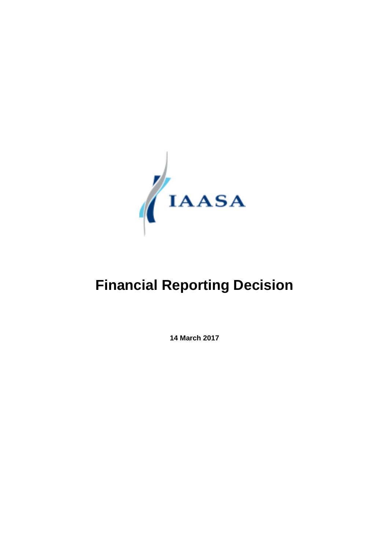

# **Financial Reporting Decision**

**14 March 2017**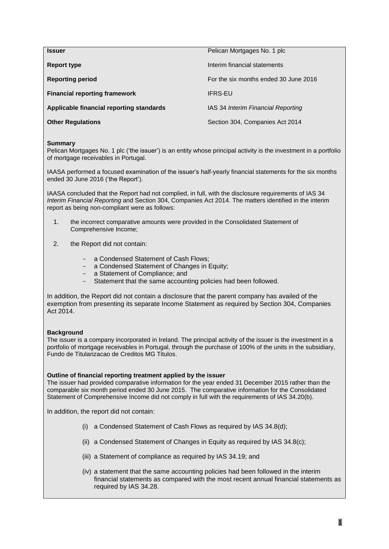| <b>Issuer</b>                            | Pelican Mortgages No. 1 plc           |
|------------------------------------------|---------------------------------------|
| Report type                              | Interim financial statements          |
| <b>Reporting period</b>                  | For the six months ended 30 June 2016 |
| <b>Financial reporting framework</b>     | <b>IFRS-EU</b>                        |
| Applicable financial reporting standards | IAS 34 Interim Financial Reporting    |
| <b>Other Regulations</b>                 | Section 304, Companies Act 2014       |

# **Summary**

Pelican Mortgages No. 1 plc ('the issuer') is an entity whose principal activity is the investment in a portfolio of mortgage receivables in Portugal.

IAASA performed a focused examination of the issuer's half-yearly financial statements for the six months ended 30 June 2016 ('the Report').

IAASA concluded that the Report had not complied, in full, with the disclosure requirements of IAS 34 *Interim Financial Reporting* and Section 304, Companies Act 2014. The matters identified in the interim report as being non-compliant were as follows:

- 1. the incorrect comparative amounts were provided in the Consolidated Statement of Comprehensive Income;
- 2. the Report did not contain:
	- a Condensed Statement of Cash Flows:
	- a Condensed Statement of Changes in Equity;
	- a Statement of Compliance; and
	- Statement that the same accounting policies had been followed.

In addition, the Report did not contain a disclosure that the parent company has availed of the exemption from presenting its separate Income Statement as required by Section 304, Companies Act 2014.

### **Background**

The issuer is a company incorporated in Ireland. The principal activity of the issuer is the investment in a portfolio of mortgage receivables in Portugal, through the purchase of 100% of the units in the subsidiary, Fundo de Titularizacao de Creditos MG Titulos.

### **Outline of financial reporting treatment applied by the issuer**

The issuer had provided comparative information for the year ended 31 December 2015 rather than the comparable six month period ended 30 June 2015. The comparative information for the Consolidated Statement of Comprehensive Income did not comply in full with the requirements of IAS 34.20(b).

In addition, the report did not contain:

- (i) a Condensed Statement of Cash Flows as required by IAS 34.8(d);
- (ii) a Condensed Statement of Changes in Equity as required by IAS 34.8(c);
- (iii) a Statement of compliance as required by IAS 34.19; and
- (iv) a statement that the same accounting policies had been followed in the interim financial statements as compared with the most recent annual financial statements as required by IAS 34.28.